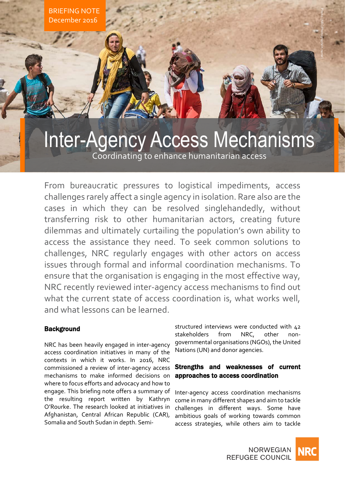

## Inter-Agency Access Mechanisms Coordinating to enhance humanitarian access

From bureaucratic pressures to logistical impediments, access challenges rarely affect a single agency in isolation. Rare also are the cases in which they can be resolved singlehandedly, without transferring risk to other humanitarian actors, creating future dilemmas and ultimately curtailing the population's own ability to access the assistance they need. To seek common solutions to challenges, NRC regularly engages with other actors on access issues through formal and informal coordination mechanisms. To ensure that the organisation is engaging in the most effective way, NRC recently reviewed inter-agency access mechanisms to find out what the current state of access coordination is, what works well, and what lessons can be learned.

## **Background**

NRC has been heavily engaged in inter-agency access coordination initiatives in many of the contexts in which it works. In 2016, NRC commissioned a review of inter-agency access mechanisms to make informed decisions on where to focus efforts and advocacy and how to engage. This briefing note offers a summary of the resulting report written by Kathryn O'Rourke. The research looked at initiatives in Afghanistan, Central African Republic (CAR), Somalia and South Sudan in depth. Semi-

structured interviews were conducted with 42 stakeholders from NRC, other nongovernmental organisations (NGOs), the United Nations (UN) and donor agencies.

## Strengths and weaknesses of current approaches to access coordination

Inter-agency access coordination mechanisms come in many different shapes and aim to tackle challenges in different ways. Some have ambitious goals of working towards common access strategies, while others aim to tackle

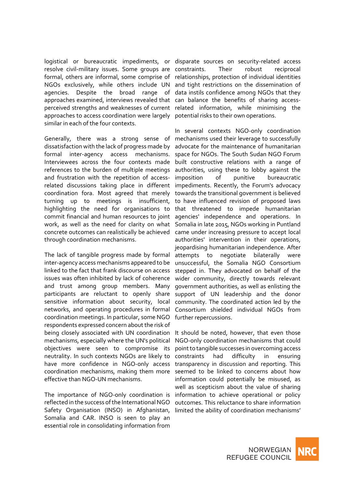logistical or bureaucratic impediments, or disparate sources on security-related access resolve civil-military issues. Some groups are constraints. Their robust reciprocal formal, others are informal, some comprise of relationships, protection of individual identities NGOs exclusively, while others include UN and tight restrictions on the dissemination of agencies. Despite the broad range of data instils confidence among NGOs that they approaches examined, interviews revealed that can balance the benefits of sharing accessperceived strengths and weaknesses of current related information, while minimising the approaches to access coordination were largely potential risks to their own operations. similar in each of the four contexts.

Generally, there was a strong sense of mechanisms used their leverage to successfully dissatisfaction with the lack of progress made by advocate for the maintenance of humanitarian formal inter-agency access mechanisms. space for NGOs. The South Sudan NGO Forum Interviewees across the four contexts made built constructive relations with a range of references to the burden of multiple meetings authorities, using these to lobby against the and frustration with the repetition of access- imposition related discussions taking place in different impediments. Recently, the Forum's advocacy coordination fora. Most agreed that merely towards the transitional government is believed turning up to meetings is insufficient, to have influenced revision of proposed laws highlighting the need for organisations to that threatened to impede humanitarian commit financial and human resources to joint agencies' independence and operations. In work, as well as the need for clarity on what Somalia in late 2015, NGOs working in Puntland concrete outcomes can realistically be achieved came under increasing pressure to accept local through coordination mechanisms.

The lack of tangible progress made by formal attempts to negotiate bilaterally were inter-agency access mechanisms appeared to be unsuccessful, the Somalia NGO Consortium linked to the fact that frank discourse on access issues was often inhibited by lack of coherence and trust among group members. Many participants are reluctant to openly share support of UN leadership and the donor sensitive information about security, local networks, and operating procedures in formal coordination meetings. In particular, some NGO respondents expressed concern about the risk of being closely associated with UN coordination It should be noted, however, that even those mechanisms, especially where the UN's political objectives were seen to compromise its neutrality. In such contexts NGOs are likely to have more confidence in NGO-only access coordination mechanisms, making them more effective than NGO-UN mechanisms.

The importance of NGO-only coordination is reflected in the success of the International NGO Safety Organisation (INSO) in Afghanistan, Somalia and CAR. INSO is seen to play an essential role in consolidating information from

In several contexts NGO-only coordination of punitive bureaucratic authorities' intervention in their operations, jeopardising humanitarian independence. After stepped in. They advocated on behalf of the wider community, directly towards relevant government authorities, as well as enlisting the community. The coordinated action led by the Consortium shielded individual NGOs from further repercussions.

NGO-only coordination mechanisms that could point to tangible successes in overcoming access constraints had difficulty in ensuring transparency in discussion and reporting. This seemed to be linked to concerns about how information could potentially be misused, as well as scepticism about the value of sharing information to achieve operational or policy outcomes. This reluctance to share information limited the ability of coordination mechanisms'